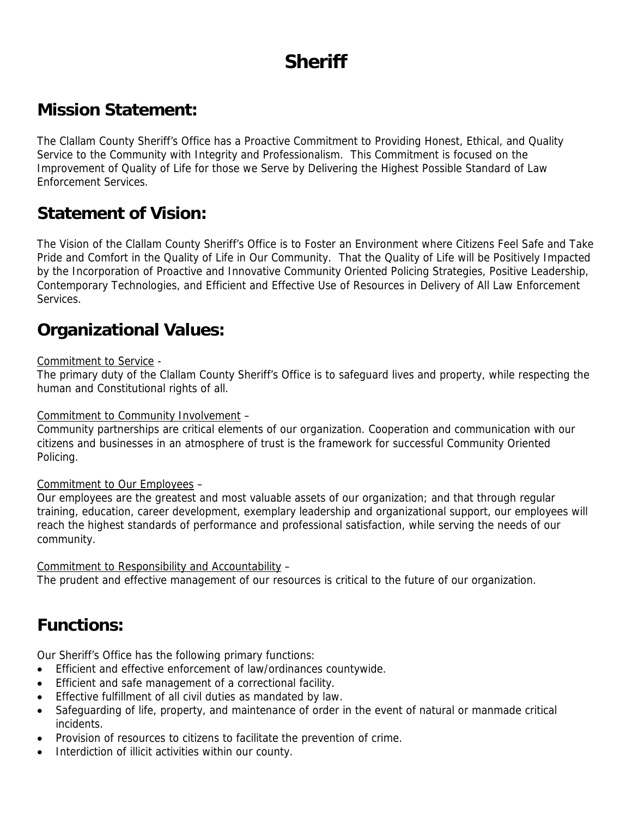# **Sheriff**

#### **Mission Statement:**

The Clallam County Sheriff's Office has a Proactive Commitment to Providing Honest, Ethical, and Quality Service to the Community with Integrity and Professionalism. This Commitment is focused on the Improvement of Quality of Life for those we Serve by Delivering the Highest Possible Standard of Law Enforcement Services.

#### **Statement of Vision:**

The Vision of the Clallam County Sheriff's Office is to Foster an Environment where Citizens Feel Safe and Take Pride and Comfort in the Quality of Life in Our Community. That the Quality of Life will be Positively Impacted by the Incorporation of Proactive and Innovative Community Oriented Policing Strategies, Positive Leadership, Contemporary Technologies, and Efficient and Effective Use of Resources in Delivery of All Law Enforcement Services.

#### **Organizational Values:**

#### Commitment to Service -

The primary duty of the Clallam County Sheriff's Office is to safeguard lives and property, while respecting the human and Constitutional rights of all.

Commitment to Community Involvement –

Community partnerships are critical elements of our organization. Cooperation and communication with our citizens and businesses in an atmosphere of trust is the framework for successful Community Oriented Policing.

#### Commitment to Our Employees –

Our employees are the greatest and most valuable assets of our organization; and that through regular training, education, career development, exemplary leadership and organizational support, our employees will reach the highest standards of performance and professional satisfaction, while serving the needs of our community.

Commitment to Responsibility and Accountability –

The prudent and effective management of our resources is critical to the future of our organization.

## **Functions:**

Our Sheriff's Office has the following primary functions:

- Efficient and effective enforcement of law/ordinances countywide.
- Efficient and safe management of a correctional facility.
- Effective fulfillment of all civil duties as mandated by law.
- Safeguarding of life, property, and maintenance of order in the event of natural or manmade critical incidents.
- Provision of resources to citizens to facilitate the prevention of crime.
- Interdiction of illicit activities within our county.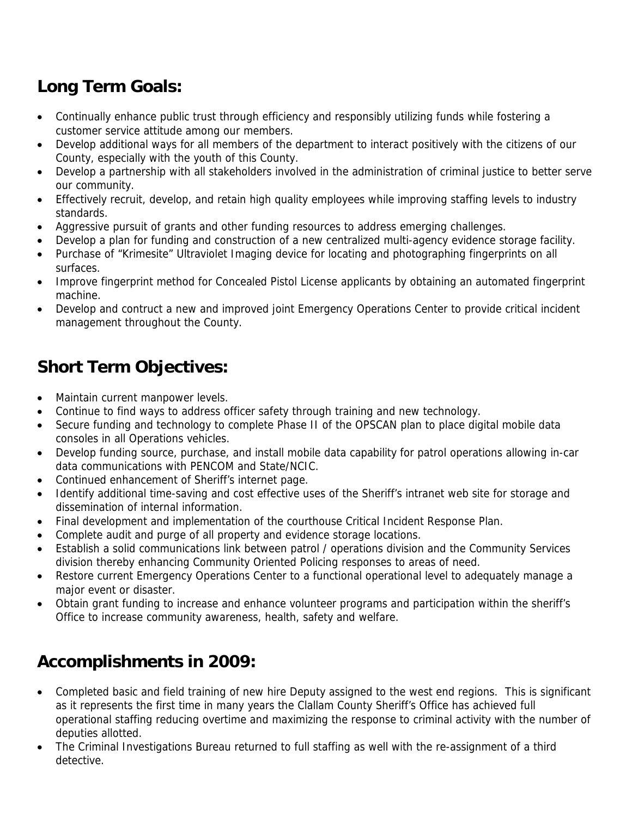# **Long Term Goals:**

- Continually enhance public trust through efficiency and responsibly utilizing funds while fostering a customer service attitude among our members.
- Develop additional ways for all members of the department to interact positively with the citizens of our County, especially with the youth of this County.
- Develop a partnership with all stakeholders involved in the administration of criminal justice to better serve our community.
- Effectively recruit, develop, and retain high quality employees while improving staffing levels to industry standards.
- Aggressive pursuit of grants and other funding resources to address emerging challenges.
- Develop a plan for funding and construction of a new centralized multi-agency evidence storage facility.
- Purchase of "Krimesite" Ultraviolet Imaging device for locating and photographing fingerprints on all surfaces.
- Improve fingerprint method for Concealed Pistol License applicants by obtaining an automated fingerprint machine.
- Develop and contruct a new and improved joint Emergency Operations Center to provide critical incident management throughout the County.

# **Short Term Objectives:**

- Maintain current manpower levels.
- Continue to find ways to address officer safety through training and new technology.
- Secure funding and technology to complete Phase II of the OPSCAN plan to place digital mobile data consoles in all Operations vehicles.
- Develop funding source, purchase, and install mobile data capability for patrol operations allowing in-car data communications with PENCOM and State/NCIC.
- Continued enhancement of Sheriff's internet page.
- Identify additional time-saving and cost effective uses of the Sheriff's intranet web site for storage and dissemination of internal information.
- Final development and implementation of the courthouse Critical Incident Response Plan.
- Complete audit and purge of all property and evidence storage locations.
- Establish a solid communications link between patrol / operations division and the Community Services division thereby enhancing Community Oriented Policing responses to areas of need.
- Restore current Emergency Operations Center to a functional operational level to adequately manage a major event or disaster.
- Obtain grant funding to increase and enhance volunteer programs and participation within the sheriff's Office to increase community awareness, health, safety and welfare.

# **Accomplishments in 2009:**

- Completed basic and field training of new hire Deputy assigned to the west end regions. This is significant as it represents the first time in many years the Clallam County Sheriff's Office has achieved full operational staffing reducing overtime and maximizing the response to criminal activity with the number of deputies allotted.
- The Criminal Investigations Bureau returned to full staffing as well with the re-assignment of a third detective.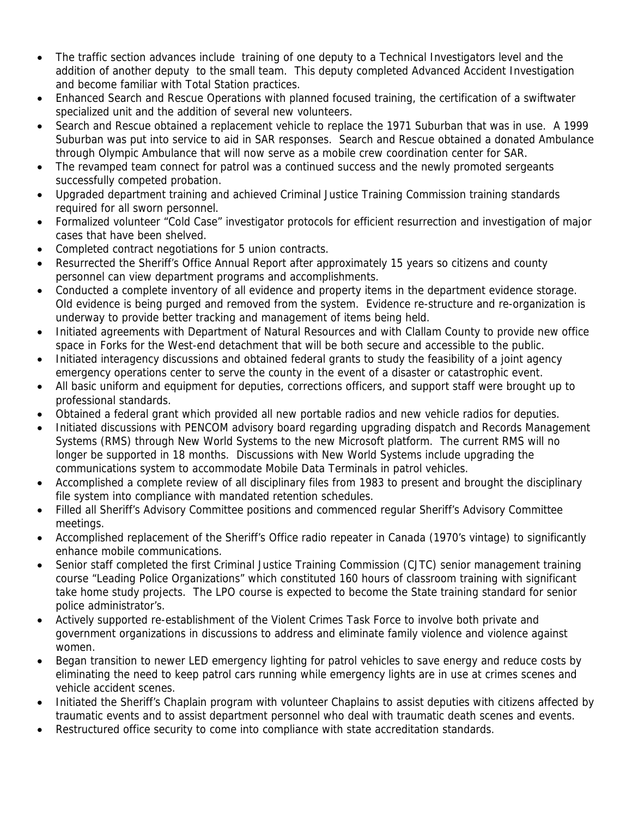- The traffic section advances include training of one deputy to a Technical Investigators level and the addition of another deputy to the small team. This deputy completed Advanced Accident Investigation and become familiar with Total Station practices.
- Enhanced Search and Rescue Operations with planned focused training, the certification of a swiftwater specialized unit and the addition of several new volunteers.
- Search and Rescue obtained a replacement vehicle to replace the 1971 Suburban that was in use. A 1999 Suburban was put into service to aid in SAR responses. Search and Rescue obtained a donated Ambulance through Olympic Ambulance that will now serve as a mobile crew coordination center for SAR.
- The revamped team connect for patrol was a continued success and the newly promoted sergeants successfully competed probation.
- Upgraded department training and achieved Criminal Justice Training Commission training standards required for all sworn personnel.
- Formalized volunteer "Cold Case" investigator protocols for efficient resurrection and investigation of major cases that have been shelved.
- Completed contract negotiations for 5 union contracts.
- Resurrected the Sheriff's Office Annual Report after approximately 15 years so citizens and county personnel can view department programs and accomplishments.
- Conducted a complete inventory of all evidence and property items in the department evidence storage. Old evidence is being purged and removed from the system. Evidence re-structure and re-organization is underway to provide better tracking and management of items being held.
- Initiated agreements with Department of Natural Resources and with Clallam County to provide new office space in Forks for the West-end detachment that will be both secure and accessible to the public.
- Initiated interagency discussions and obtained federal grants to study the feasibility of a joint agency emergency operations center to serve the county in the event of a disaster or catastrophic event.
- All basic uniform and equipment for deputies, corrections officers, and support staff were brought up to professional standards.
- Obtained a federal grant which provided all new portable radios and new vehicle radios for deputies.
- Initiated discussions with PENCOM advisory board regarding upgrading dispatch and Records Management Systems (RMS) through New World Systems to the new Microsoft platform. The current RMS will no longer be supported in 18 months. Discussions with New World Systems include upgrading the communications system to accommodate Mobile Data Terminals in patrol vehicles.
- Accomplished a complete review of all disciplinary files from 1983 to present and brought the disciplinary file system into compliance with mandated retention schedules.
- Filled all Sheriff's Advisory Committee positions and commenced regular Sheriff's Advisory Committee meetings.
- Accomplished replacement of the Sheriff's Office radio repeater in Canada (1970's vintage) to significantly enhance mobile communications.
- Senior staff completed the first Criminal Justice Training Commission (CJTC) senior management training course "Leading Police Organizations" which constituted 160 hours of classroom training with significant take home study projects. The LPO course is expected to become the State training standard for senior police administrator's.
- Actively supported re-establishment of the Violent Crimes Task Force to involve both private and government organizations in discussions to address and eliminate family violence and violence against women.
- Began transition to newer LED emergency lighting for patrol vehicles to save energy and reduce costs by eliminating the need to keep patrol cars running while emergency lights are in use at crimes scenes and vehicle accident scenes.
- Initiated the Sheriff's Chaplain program with volunteer Chaplains to assist deputies with citizens affected by traumatic events and to assist department personnel who deal with traumatic death scenes and events.
- Restructured office security to come into compliance with state accreditation standards.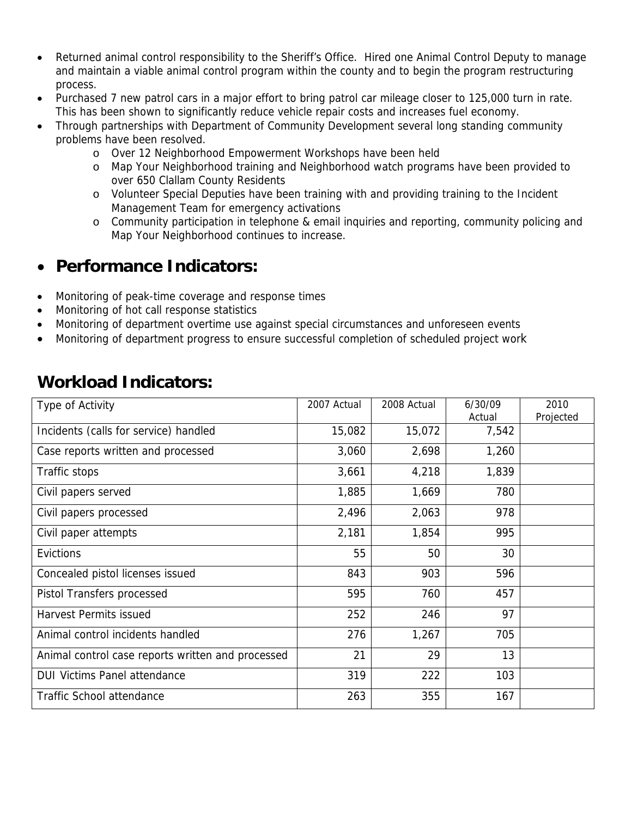- Returned animal control responsibility to the Sheriff's Office. Hired one Animal Control Deputy to manage and maintain a viable animal control program within the county and to begin the program restructuring process.
- Purchased 7 new patrol cars in a major effort to bring patrol car mileage closer to 125,000 turn in rate. This has been shown to significantly reduce vehicle repair costs and increases fuel economy.
- Through partnerships with Department of Community Development several long standing community problems have been resolved.
	- o Over 12 Neighborhood Empowerment Workshops have been held
	- o Map Your Neighborhood training and Neighborhood watch programs have been provided to over 650 Clallam County Residents
	- o Volunteer Special Deputies have been training with and providing training to the Incident Management Team for emergency activations
	- o Community participation in telephone & email inquiries and reporting, community policing and Map Your Neighborhood continues to increase.

#### • **Performance Indicators:**

- Monitoring of peak-time coverage and response times
- Monitoring of hot call response statistics
- Monitoring of department overtime use against special circumstances and unforeseen events
- Monitoring of department progress to ensure successful completion of scheduled project work

| Type of Activity                                  | 2007 Actual | 2008 Actual | 6/30/09<br>Actual | 2010<br>Projected |
|---------------------------------------------------|-------------|-------------|-------------------|-------------------|
| Incidents (calls for service) handled             | 15,082      | 15,072      | 7,542             |                   |
| Case reports written and processed                | 3,060       | 2,698       | 1,260             |                   |
| Traffic stops                                     | 3,661       | 4,218       | 1,839             |                   |
| Civil papers served                               | 1,885       | 1,669       | 780               |                   |
| Civil papers processed                            | 2,496       | 2,063       | 978               |                   |
| Civil paper attempts                              | 2,181       | 1,854       | 995               |                   |
| Evictions                                         | 55          | 50          | 30                |                   |
| Concealed pistol licenses issued                  | 843         | 903         | 596               |                   |
| Pistol Transfers processed                        | 595         | 760         | 457               |                   |
| <b>Harvest Permits issued</b>                     | 252         | 246         | 97                |                   |
| Animal control incidents handled                  | 276         | 1,267       | 705               |                   |
| Animal control case reports written and processed | 21          | 29          | 13                |                   |
| <b>DUI Victims Panel attendance</b>               | 319         | 222         | 103               |                   |
| <b>Traffic School attendance</b>                  | 263         | 355         | 167               |                   |

#### **Workload Indicators:**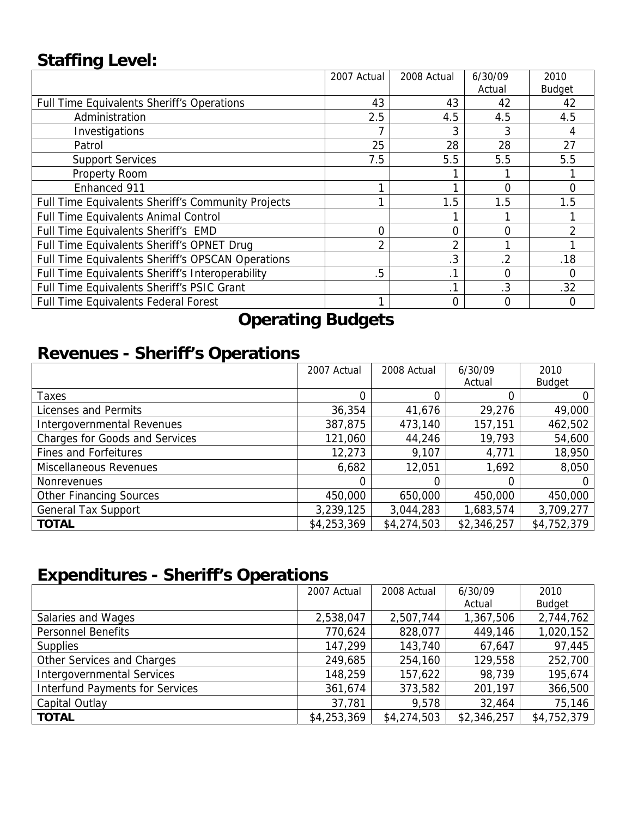# **Staffing Level:**

|                                                    | 2007 Actual | 2008 Actual    | 6/30/09        | 2010          |
|----------------------------------------------------|-------------|----------------|----------------|---------------|
|                                                    |             |                | Actual         | <b>Budget</b> |
| <b>Full Time Equivalents Sheriff's Operations</b>  | 43          | 43             | 42             | 42            |
| Administration                                     | 2.5         | 4.5            | 4.5            | 4.5           |
| Investigations                                     |             | 3              |                |               |
| Patrol                                             | 25          | 28             | 28             | 27            |
| <b>Support Services</b>                            | 7.5         | 5.5            | 5.5            | 5.5           |
| Property Room                                      |             |                |                |               |
| Enhanced 911                                       |             |                | 0              | 0             |
| Full Time Equivalents Sheriff's Community Projects |             | 1.5            | 1.5            | 1.5           |
| <b>Full Time Equivalents Animal Control</b>        |             |                |                |               |
| Full Time Equivalents Sheriff's EMD                | 0           | 0              | 0              |               |
| Full Time Equivalents Sheriff's OPNET Drug         | 2           | $\overline{2}$ |                |               |
| Full Time Equivalents Sheriff's OPSCAN Operations  |             | .3             | $\overline{2}$ | .18           |
| Full Time Equivalents Sheriff's Interoperability   | .5          | $\cdot$ 1      | ი              | 0             |
| Full Time Equivalents Sheriff's PSIC Grant         |             | .1             | .3             | .32           |
| Full Time Equivalents Federal Forest               |             | 0              |                | O             |

# **Operating Budgets**

## **Revenues - Sheriff's Operations**

|                                       | 2007 Actual | 2008 Actual | 6/30/09     | 2010          |
|---------------------------------------|-------------|-------------|-------------|---------------|
|                                       |             |             | Actual      | <b>Budget</b> |
| Taxes                                 |             |             |             |               |
| Licenses and Permits                  | 36,354      | 41,676      | 29,276      | 49,000        |
| Intergovernmental Revenues            | 387,875     | 473,140     | 157,151     | 462,502       |
| <b>Charges for Goods and Services</b> | 121,060     | 44,246      | 19,793      | 54,600        |
| <b>Fines and Forfeitures</b>          | 12,273      | 9,107       | 4,771       | 18,950        |
| Miscellaneous Revenues                | 6,682       | 12,051      | 1,692       | 8,050         |
| <b>Nonrevenues</b>                    | $\Omega$    | 0           | O           |               |
| <b>Other Financing Sources</b>        | 450,000     | 650,000     | 450,000     | 450,000       |
| <b>General Tax Support</b>            | 3,239,125   | 3,044,283   | 1,683,574   | 3,709,277     |
| <b>TOTAL</b>                          | \$4,253,369 | \$4,274,503 | \$2,346,257 | \$4,752,379   |

# **Expenditures - Sheriff's Operations**

|                                        | 2007 Actual | 2008 Actual | 6/30/09     | 2010          |
|----------------------------------------|-------------|-------------|-------------|---------------|
|                                        |             |             | Actual      | <b>Budget</b> |
| Salaries and Wages                     | 2,538,047   | 2,507,744   | 1,367,506   | 2,744,762     |
| <b>Personnel Benefits</b>              | 770,624     | 828,077     | 449,146     | 1,020,152     |
| <b>Supplies</b>                        | 147,299     | 143,740     | 67,647      | 97,445        |
| Other Services and Charges             | 249,685     | 254,160     | 129,558     | 252,700       |
| <b>Intergovernmental Services</b>      | 148,259     | 157,622     | 98,739      | 195,674       |
| <b>Interfund Payments for Services</b> | 361,674     | 373,582     | 201,197     | 366,500       |
| Capital Outlay                         | 37,781      | 9,578       | 32,464      | 75,146        |
| <b>TOTAL</b>                           | \$4,253,369 | \$4,274,503 | \$2,346,257 | \$4,752,379   |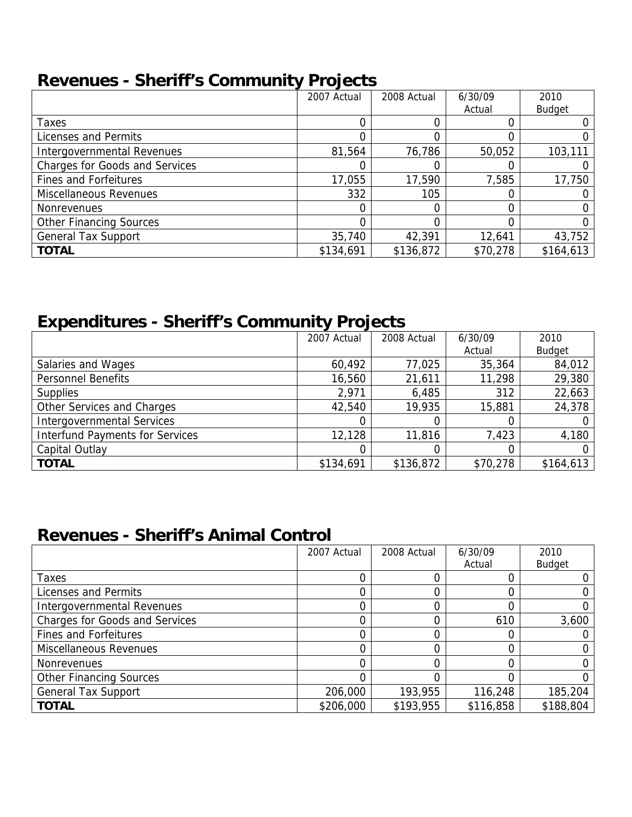#### **Revenues - Sheriff's Community Projects**

|                                       | 2007 Actual | 2008 Actual | 6/30/09  | 2010          |
|---------------------------------------|-------------|-------------|----------|---------------|
|                                       |             |             | Actual   | <b>Budget</b> |
| Taxes                                 |             |             |          |               |
| Licenses and Permits                  |             | 0           |          |               |
| Intergovernmental Revenues            | 81,564      | 76,786      | 50,052   | 103,111       |
| <b>Charges for Goods and Services</b> |             | Ω           |          |               |
| <b>Fines and Forfeitures</b>          | 17,055      | 17,590      | 7,585    | 17,750        |
| Miscellaneous Revenues                | 332         | 105         |          |               |
| <b>Nonrevenues</b>                    |             |             |          |               |
| <b>Other Financing Sources</b>        |             |             |          |               |
| <b>General Tax Support</b>            | 35,740      | 42,391      | 12,641   | 43,752        |
| <b>TOTAL</b>                          | \$134,691   | \$136,872   | \$70,278 | \$164,613     |

# **Expenditures - Sheriff's Community Projects**

|                                        | 2007 Actual | 2008 Actual | 6/30/09  | 2010          |
|----------------------------------------|-------------|-------------|----------|---------------|
|                                        |             |             | Actual   | <b>Budget</b> |
| Salaries and Wages                     | 60,492      | 77,025      | 35,364   | 84,012        |
| <b>Personnel Benefits</b>              | 16,560      | 21,611      | 11,298   | 29,380        |
| <b>Supplies</b>                        | 2,971       | 6,485       | 312      | 22,663        |
| Other Services and Charges             | 42,540      | 19,935      | 15,881   | 24,378        |
| <b>Intergovernmental Services</b>      |             |             |          |               |
| <b>Interfund Payments for Services</b> | 12,128      | 11,816      | 7,423    | 4,180         |
| Capital Outlay                         |             |             |          |               |
| <b>TOTAL</b>                           | \$134,691   | \$136,872   | \$70,278 | \$164,613     |

## **Revenues - Sheriff's Animal Control**

|                                       | 2007 Actual | 2008 Actual | 6/30/09   | 2010          |
|---------------------------------------|-------------|-------------|-----------|---------------|
|                                       |             |             | Actual    | <b>Budget</b> |
| Taxes                                 |             |             |           |               |
| Licenses and Permits                  |             |             |           |               |
| Intergovernmental Revenues            |             |             |           |               |
| <b>Charges for Goods and Services</b> |             |             | 610       | 3,600         |
| <b>Fines and Forfeitures</b>          |             |             |           |               |
| Miscellaneous Revenues                |             |             |           |               |
| <b>Nonrevenues</b>                    | N           |             |           |               |
| <b>Other Financing Sources</b>        |             |             |           |               |
| <b>General Tax Support</b>            | 206,000     | 193,955     | 116,248   | 185,204       |
| <b>TOTAL</b>                          | \$206,000   | \$193,955   | \$116,858 | \$188,804     |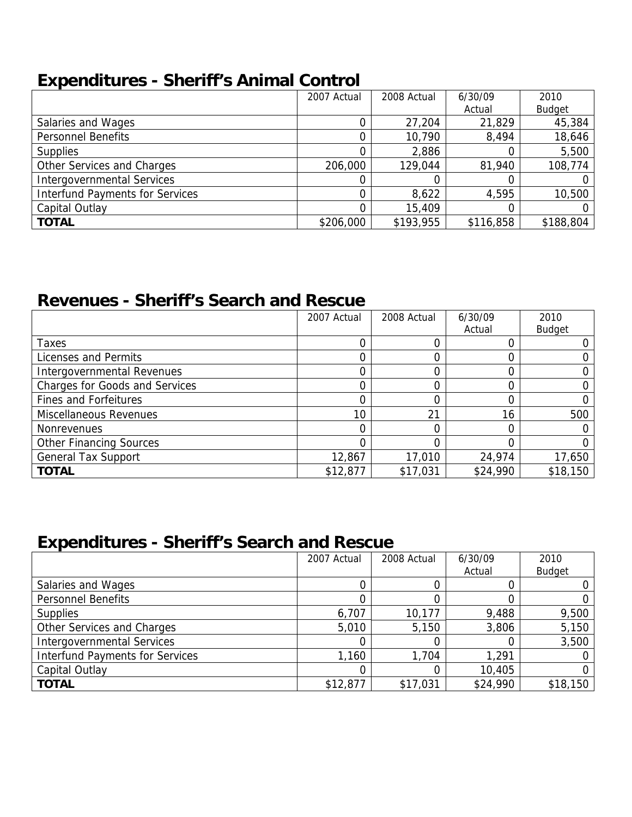## **Expenditures - Sheriff's Animal Control**

|                                        | 2007 Actual | 2008 Actual | 6/30/09   | 2010          |
|----------------------------------------|-------------|-------------|-----------|---------------|
|                                        |             |             | Actual    | <b>Budget</b> |
| Salaries and Wages                     |             | 27,204      | 21,829    | 45,384        |
| <b>Personnel Benefits</b>              |             | 10,790      | 8,494     | 18,646        |
| <b>Supplies</b>                        |             | 2,886       |           | 5,500         |
| Other Services and Charges             | 206,000     | 129,044     | 81,940    | 108,774       |
| <b>Intergovernmental Services</b>      |             |             |           |               |
| <b>Interfund Payments for Services</b> |             | 8,622       | 4,595     | 10,500        |
| Capital Outlay                         |             | 15,409      |           |               |
| <b>TOTAL</b>                           | \$206,000   | \$193,955   | \$116,858 | \$188,804     |

## **Revenues - Sheriff's Search and Rescue**

|                                       | 2007 Actual | 2008 Actual | 6/30/09  | 2010          |
|---------------------------------------|-------------|-------------|----------|---------------|
|                                       |             |             | Actual   | <b>Budget</b> |
| Taxes                                 |             |             |          |               |
| Licenses and Permits                  |             | 0           |          |               |
| Intergovernmental Revenues            |             |             |          |               |
| <b>Charges for Goods and Services</b> |             |             |          |               |
| <b>Fines and Forfeitures</b>          |             |             |          |               |
| Miscellaneous Revenues                | 10          | 21          | 16       | 500           |
| <b>Nonrevenues</b>                    |             | 0           |          |               |
| <b>Other Financing Sources</b>        |             | 0           |          |               |
| <b>General Tax Support</b>            | 12,867      | 17,010      | 24,974   | 17,650        |
| <b>TOTAL</b>                          | \$12,877    | \$17,031    | \$24,990 | \$18,150      |

## **Expenditures - Sheriff's Search and Rescue**

|                                        | 2007 Actual | 2008 Actual | 6/30/09  | 2010          |
|----------------------------------------|-------------|-------------|----------|---------------|
|                                        |             |             | Actual   | <b>Budget</b> |
| Salaries and Wages                     |             |             |          |               |
| <b>Personnel Benefits</b>              |             |             |          |               |
| <b>Supplies</b>                        | 6,707       | 10,177      | 9,488    | 9,500         |
| Other Services and Charges             | 5,010       | 5,150       | 3,806    | 5,150         |
| <b>Intergovernmental Services</b>      |             |             |          | 3,500         |
| <b>Interfund Payments for Services</b> | 1,160       | 1,704       | 1,291    |               |
| Capital Outlay                         |             |             | 10,405   |               |
| <b>TOTAL</b>                           | \$12,877    | \$17,031    | \$24,990 | \$18,150      |